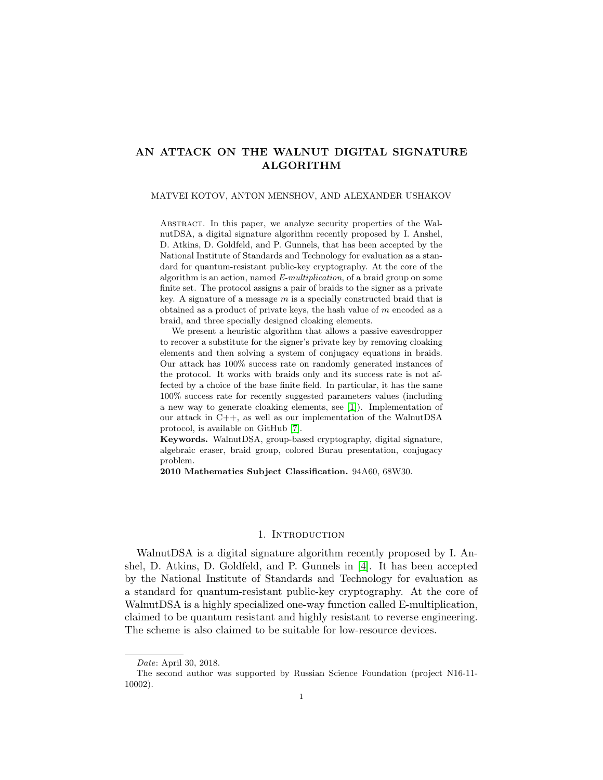# AN ATTACK ON THE WALNUT DIGITAL SIGNATURE ALGORITHM

### MATVEI KOTOV, ANTON MENSHOV, AND ALEXANDER USHAKOV

ABSTRACT. In this paper, we analyze security properties of the WalnutDSA, a digital signature algorithm recently proposed by I. Anshel, D. Atkins, D. Goldfeld, and P. Gunnels, that has been accepted by the National Institute of Standards and Technology for evaluation as a standard for quantum-resistant public-key cryptography. At the core of the algorithm is an action, named E-multiplication, of a braid group on some finite set. The protocol assigns a pair of braids to the signer as a private key. A signature of a message  $m$  is a specially constructed braid that is obtained as a product of private keys, the hash value of  $m$  encoded as a braid, and three specially designed cloaking elements.

We present a heuristic algorithm that allows a passive eavesdropper to recover a substitute for the signer's private key by removing cloaking elements and then solving a system of conjugacy equations in braids. Our attack has 100% success rate on randomly generated instances of the protocol. It works with braids only and its success rate is not affected by a choice of the base finite field. In particular, it has the same 100% success rate for recently suggested parameters values (including a new way to generate cloaking elements, see [\[1\]](#page-17-0)). Implementation of our attack in C++, as well as our implementation of the WalnutDSA protocol, is available on GitHub [\[7\]](#page-18-0).

Keywords. WalnutDSA, group-based cryptography, digital signature, algebraic eraser, braid group, colored Burau presentation, conjugacy problem.

2010 Mathematics Subject Classification. 94A60, 68W30.

### 1. INTRODUCTION

WalnutDSA is a digital signature algorithm recently proposed by I. Anshel, D. Atkins, D. Goldfeld, and P. Gunnels in [\[4\]](#page-18-1). It has been accepted by the National Institute of Standards and Technology for evaluation as a standard for quantum-resistant public-key cryptography. At the core of WalnutDSA is a highly specialized one-way function called E-multiplication, claimed to be quantum resistant and highly resistant to reverse engineering. The scheme is also claimed to be suitable for low-resource devices.

Date: April 30, 2018.

The second author was supported by Russian Science Foundation (project N16-11- 10002).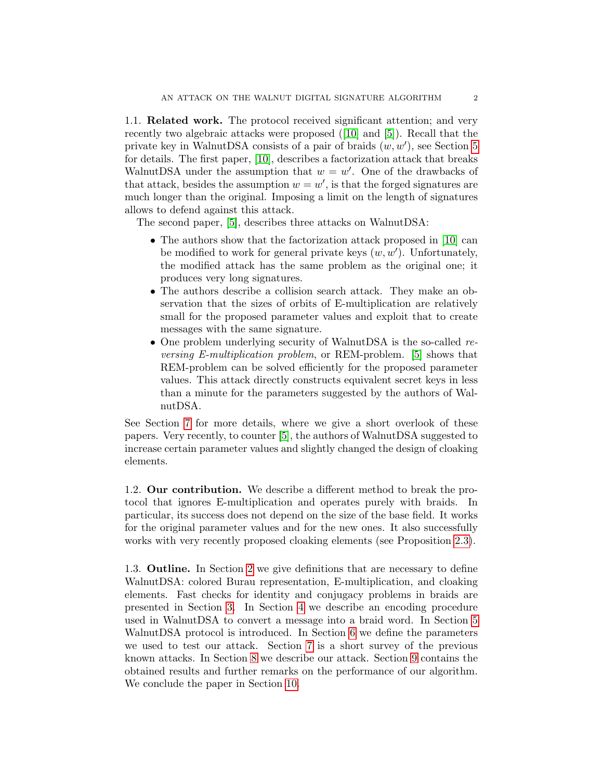1.1. Related work. The protocol received significant attention; and very recently two algebraic attacks were proposed ([\[10\]](#page-18-2) and [\[5\]](#page-18-3)). Recall that the private key in WalnutDSA consists of a pair of braids  $(w, w')$ , see Section [5](#page-8-0) for details. The first paper, [\[10\]](#page-18-2), describes a factorization attack that breaks WalnutDSA under the assumption that  $w = w'$ . One of the drawbacks of that attack, besides the assumption  $w = w'$ , is that the forged signatures are much longer than the original. Imposing a limit on the length of signatures allows to defend against this attack.

The second paper, [\[5\]](#page-18-3), describes three attacks on WalnutDSA:

- The authors show that the factorization attack proposed in [\[10\]](#page-18-2) can be modified to work for general private keys  $(w, w')$ . Unfortunately, the modified attack has the same problem as the original one; it produces very long signatures.
- The authors describe a collision search attack. They make an observation that the sizes of orbits of E-multiplication are relatively small for the proposed parameter values and exploit that to create messages with the same signature.
- One problem underlying security of WalnutDSA is the so-called reversing E-multiplication problem, or REM-problem. [\[5\]](#page-18-3) shows that REM-problem can be solved efficiently for the proposed parameter values. This attack directly constructs equivalent secret keys in less than a minute for the parameters suggested by the authors of WalnutDSA.

See Section [7](#page-10-0) for more details, where we give a short overlook of these papers. Very recently, to counter [\[5\]](#page-18-3), the authors of WalnutDSA suggested to increase certain parameter values and slightly changed the design of cloaking elements.

1.2. Our contribution. We describe a different method to break the protocol that ignores E-multiplication and operates purely with braids. In particular, its success does not depend on the size of the base field. It works for the original parameter values and for the new ones. It also successfully works with very recently proposed cloaking elements (see Proposition [2.3\)](#page-5-0).

1.3. Outline. In Section [2](#page-2-0) we give definitions that are necessary to define WalnutDSA: colored Burau representation, E-multiplication, and cloaking elements. Fast checks for identity and conjugacy problems in braids are presented in Section [3.](#page-5-1) In Section [4](#page-6-0) we describe an encoding procedure used in WalnutDSA to convert a message into a braid word. In Section [5](#page-8-0) WalnutDSA protocol is introduced. In Section [6](#page-9-0) we define the parameters we used to test our attack. Section [7](#page-10-0) is a short survey of the previous known attacks. In Section [8](#page-11-0) we describe our attack. Section [9](#page-15-0) contains the obtained results and further remarks on the performance of our algorithm. We conclude the paper in Section [10.](#page-17-1)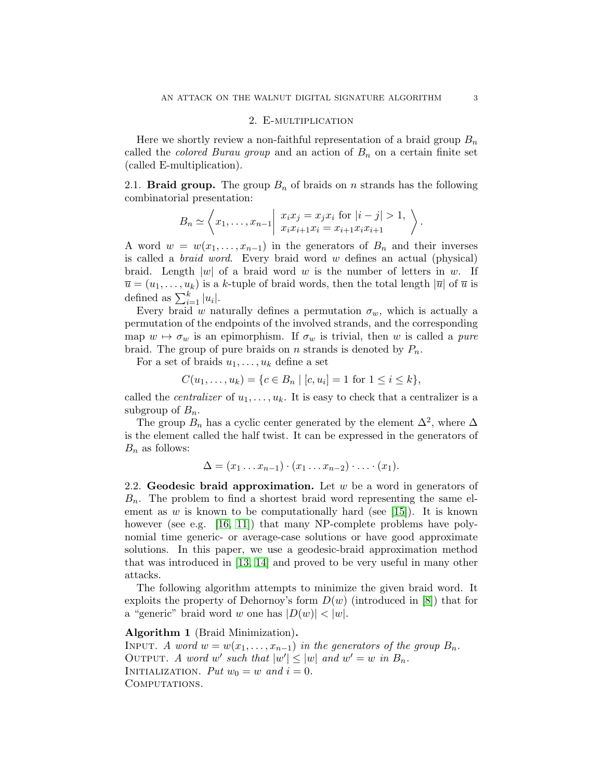### 2. E-multiplication

<span id="page-2-0"></span>Here we shortly review a non-faithful representation of a braid group  $B_n$ called the *colored Burau group* and an action of  $B_n$  on a certain finite set (called E-multiplication).

2.1. **Braid group.** The group  $B_n$  of braids on n strands has the following combinatorial presentation:

$$
B_n \simeq \left\langle x_1, \ldots, x_{n-1} \middle| \begin{array}{c} x_i x_j = x_j x_i \text{ for } |i-j| > 1, \\ x_i x_{i+1} x_i = x_{i+1} x_i x_{i+1} \end{array} \right\rangle.
$$

A word  $w = w(x_1, \ldots, x_{n-1})$  in the generators of  $B_n$  and their inverses is called a braid word. Every braid word w defines an actual (physical) braid. Length |w| of a braid word w is the number of letters in w. If  $\overline{u} = (u_1, \ldots, u_k)$  is a k-tuple of braid words, then the total length  $|\overline{u}|$  of  $\overline{u}$  is defined as  $\sum_{i=1}^{k} |u_i|$ .

Every braid w naturally defines a permutation  $\sigma_w$ , which is actually a permutation of the endpoints of the involved strands, and the corresponding map  $w \mapsto \sigma_w$  is an epimorphism. If  $\sigma_w$  is trivial, then w is called a pure braid. The group of pure braids on n strands is denoted by  $P_n$ .

For a set of braids  $u_1, \ldots, u_k$  define a set

$$
C(u_1, \ldots, u_k) = \{c \in B_n \mid [c, u_i] = 1 \text{ for } 1 \le i \le k\},\
$$

called the *centralizer* of  $u_1, \ldots, u_k$ . It is easy to check that a centralizer is a subgroup of  $B_n$ .

The group  $B_n$  has a cyclic center generated by the element  $\Delta^2$ , where  $\Delta$ is the element called the half twist. It can be expressed in the generators of  $B_n$  as follows:

$$
\Delta = (x_1 \ldots x_{n-1}) \cdot (x_1 \ldots x_{n-2}) \cdot \ldots \cdot (x_1).
$$

2.2. Geodesic braid approximation. Let  $w$  be a word in generators of  $B_n$ . The problem to find a shortest braid word representing the same el-ement as w is known to be computationally hard (see [\[15\]](#page-18-4)). It is known however (see e.g. [\[16,](#page-18-5) [11\]](#page-18-6)) that many NP-complete problems have polynomial time generic- or average-case solutions or have good approximate solutions. In this paper, we use a geodesic-braid approximation method that was introduced in [\[13,](#page-18-7) [14\]](#page-18-8) and proved to be very useful in many other attacks.

The following algorithm attempts to minimize the given braid word. It exploits the property of Dehornoy's form  $D(w)$  (introduced in [\[8\]](#page-18-9)) that for a "generic" braid word w one has  $|D(w)| < |w|$ .

Algorithm 1 (Braid Minimization). INPUT. A word  $w = w(x_1, \ldots, x_{n-1})$  in the generators of the group  $B_n$ . OUTPUT. A word w' such that  $|w'| \le |w|$  and  $w' = w$  in  $B_n$ . INITIALIZATION. Put  $w_0 = w$  and  $i = 0$ . COMPUTATIONS.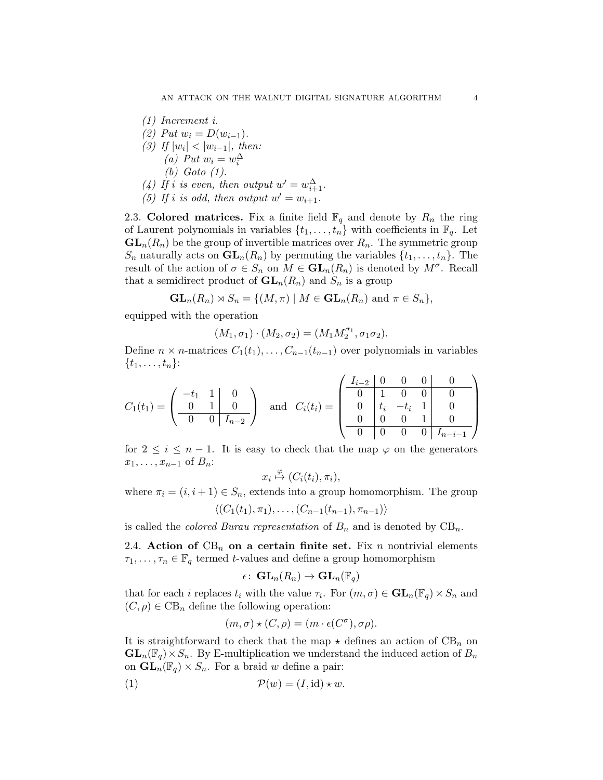(1) Increment i. (2) Put  $w_i = D(w_{i-1})$ . (3) If  $|w_i| < |w_{i-1}|$ , then: (a) Put  $w_i = w_i^{\Delta}$ (b) Goto (1). (4) If i is even, then output  $w' = w_{i+1}^{\Delta}$ . (5) If i is odd, then output  $w' = w_{i+1}$ .

2.3. Colored matrices. Fix a finite field  $\mathbb{F}_q$  and denote by  $R_n$  the ring of Laurent polynomials in variables  $\{t_1, \ldots, t_n\}$  with coefficients in  $\mathbb{F}_q$ . Let  $GL_n(R_n)$  be the group of invertible matrices over  $R_n$ . The symmetric group  $S_n$  naturally acts on  $\mathbf{GL}_n(R_n)$  by permuting the variables  $\{t_1, \ldots, t_n\}$ . The result of the action of  $\sigma \in S_n$  on  $M \in GL_n(R_n)$  is denoted by  $M^{\sigma}$ . Recall that a semidirect product of  $\mathbf{GL}_n(R_n)$  and  $S_n$  is a group

$$
\mathbf{GL}_n(R_n) \rtimes S_n = \{ (M, \pi) \mid M \in \mathbf{GL}_n(R_n) \text{ and } \pi \in S_n \},
$$

equipped with the operation

$$
(M_1,\sigma_1)\cdot (M_2,\sigma_2)=(M_1M_2^{\sigma_1},\sigma_1\sigma_2).
$$

Define  $n \times n$ -matrices  $C_1(t_1), \ldots, C_{n-1}(t_{n-1})$  over polynomials in variables  $\{t_1, \ldots, t_n\}$ :

$$
C_1(t_1) = \begin{pmatrix} -t_1 & 1 & 0 \\ 0 & 1 & 0 \\ \hline 0 & 0 & I_{n-2} \end{pmatrix} \text{ and } C_i(t_i) = \begin{pmatrix} I_{i-2} & 0 & 0 & 0 & 0 \\ 0 & 1 & 0 & 0 & 0 \\ 0 & t_i & -t_i & 1 & 0 \\ \hline 0 & 0 & 0 & 1 & 0 \\ \hline 0 & 0 & 0 & 0 & I_{n-i-1} \end{pmatrix}
$$

for  $2 \leq i \leq n-1$ . It is easy to check that the map  $\varphi$  on the generators  $x_1, \ldots, x_{n-1}$  of  $B_n$ :

$$
x_i \overset{\varphi}{\mapsto} (C_i(t_i), \pi_i),
$$

where  $\pi_i = (i, i + 1) \in S_n$ , extends into a group homomorphism. The group  $\langle (C_1(t_1), \pi_1), \ldots, (C_{n-1}(t_{n-1}), \pi_{n-1}) \rangle$ 

$$
((\vee_{1}(\iota_{1}),\iota_{1}),\ldots,(\vee_{n-1}(\iota_{n-1}),\iota_{n-1}))
$$

is called the *colored Burau representation* of  $B_n$  and is denoted by  $CB_n$ .

2.4. Action of  $CB_n$  on a certain finite set. Fix n nontrivial elements  $\tau_1, \ldots, \tau_n \in \mathbb{F}_q$  termed t-values and define a group homomorphism

$$
\epsilon\colon\operatorname{GL}_n(R_n)\to\operatorname{GL}_n(\mathbb{F}_q)
$$

that for each *i* replaces  $t_i$  with the value  $\tau_i$ . For  $(m, \sigma) \in \mathbf{GL}_n(\mathbb{F}_q) \times S_n$  and  $(C, \rho) \in \text{CB}_n$  define the following operation:

<span id="page-3-0"></span>
$$
(m, \sigma) \star (C, \rho) = (m \cdot \epsilon(C^{\sigma}), \sigma \rho).
$$

It is straightforward to check that the map  $\star$  defines an action of CB<sub>n</sub> on  $GL_n(\mathbb{F}_q)\times S_n$ . By E-multiplication we understand the induced action of  $B_n$ on  $\mathbf{GL}_n(\mathbb{F}_q) \times S_n$ . For a braid w define a pair:

$$
(1) \t\t\t\t \mathcal{P}(w) = (I, id) \star w.
$$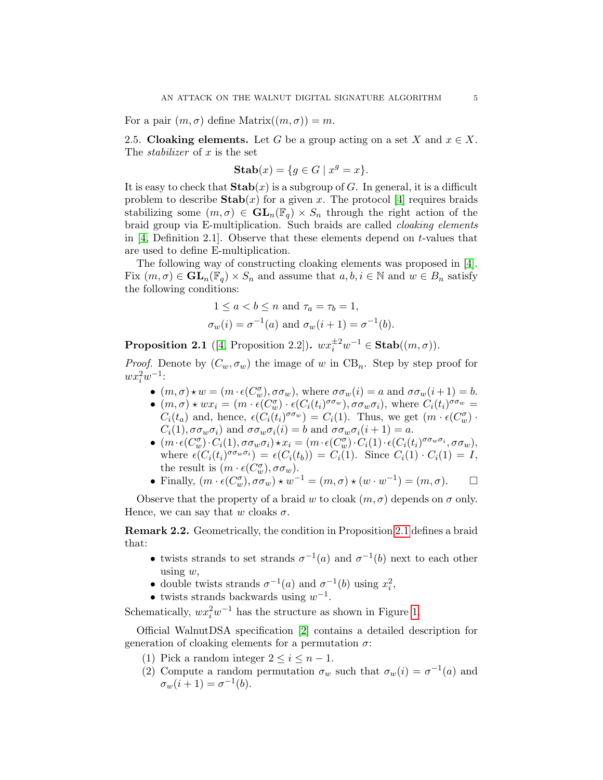For a pair  $(m, \sigma)$  define Matrix $((m, \sigma)) = m$ .

<span id="page-4-1"></span>2.5. Cloaking elements. Let G be a group acting on a set X and  $x \in X$ . The *stabilizer* of x is the set

$$
Stab(x) = \{ g \in G \mid x^g = x \}.
$$

It is easy to check that  $\text{Stab}(x)$  is a subgroup of G. In general, it is a difficult problem to describe  $\text{Stab}(x)$  for a given x. The protocol [\[4\]](#page-18-1) requires braids stabilizing some  $(m, \sigma) \in GL_n(\mathbb{F}_q) \times S_n$  through the right action of the braid group via E-multiplication. Such braids are called cloaking elements in  $[4,$  Definition 2.1. Observe that these elements depend on t-values that are used to define E-multiplication.

The following way of constructing cloaking elements was proposed in [\[4\]](#page-18-1). Fix  $(m, \sigma) \in GL_n(\mathbb{F}_q) \times S_n$  and assume that  $a, b, i \in \mathbb{N}$  and  $w \in B_n$  satisfy the following conditions:

$$
1 \le a < b \le n \text{ and } \tau_a = \tau_b = 1,
$$
\n
$$
\sigma_w(i) = \sigma^{-1}(a) \text{ and } \sigma_w(i+1) = \sigma^{-1}(b).
$$

<span id="page-4-0"></span>**Proposition 2.1** ([\[4,](#page-18-1) Proposition 2.2]).  $wx_i^{\pm 2}w^{-1} \in \text{Stab}((m, \sigma))$ .

*Proof.* Denote by  $(C_w, \sigma_w)$  the image of w in CB<sub>n</sub>. Step by step proof for  $wx_i^2w^{-1}$ :

- $(m, \sigma) \star w = (m \cdot \epsilon(C_w^{\sigma}), \sigma \sigma_w)$ , where  $\sigma \sigma_w(i) = a$  and  $\sigma \sigma_w(i+1) = b$ .
- $(m, \sigma) * wx_i = (m \cdot \epsilon(C_w^{\sigma}) \cdot \epsilon(C_i(t_i)^{\sigma \sigma_w}), \sigma \sigma_w \sigma_i),$  where  $C_i(t_i)^{\sigma \sigma_w} =$  $C_i(t_a)$  and, hence,  $\epsilon(C_i(t_i)^{\sigma \sigma_w}) = C_i(1)$ . Thus, we get  $(m \cdot \epsilon(C_w^{\sigma}) \cdot$  $C_i(1), \sigma \sigma_w \sigma_i$  and  $\sigma \sigma_w \sigma_i(i) = b$  and  $\sigma \sigma_w \sigma_i(i+1) = a$ .
- $(m \cdot \epsilon(C_w^{\sigma}) \cdot C_i(1), \sigma \sigma_w \sigma_i) \star x_i = (m \cdot \epsilon(C_w^{\sigma}) \cdot C_i(1) \cdot \epsilon(C_i(t_i)^{\sigma \sigma_w \sigma_i}, \sigma \sigma_w),$ where  $\epsilon(C_i(t_i)^{\sigma \sigma_w \sigma_i}) = \epsilon(C_i(t_b)) = C_i(1)$ . Since  $C_i(1) \cdot C_i(1) = I$ , the result is  $(m \cdot \epsilon(C_w^{\sigma}), \sigma \sigma_w)$ .
- Finally,  $(m \cdot \epsilon(C_w^{\sigma}), \sigma \sigma_w) \star w^{-1} = (m, \sigma) \star (w \cdot w^{-1}) = (m, \sigma).$   $\Box$

Observe that the property of a braid w to cloak  $(m, \sigma)$  depends on  $\sigma$  only. Hence, we can say that w cloaks  $\sigma$ .

<span id="page-4-2"></span>Remark 2.2. Geometrically, the condition in Proposition [2.1](#page-4-0) defines a braid that:

- twists strands to set strands  $\sigma^{-1}(a)$  and  $\sigma^{-1}(b)$  next to each other using  $w$ ,
- double twists strands  $\sigma^{-1}(a)$  and  $\sigma^{-1}(b)$  using  $x_i^2$ ,
- twists strands backwards using  $w^{-1}$ .

Schematically,  $wx_i^2w^{-1}$  has the structure as shown in Figure [1.](#page-5-2)

Official WalnutDSA specification [\[2\]](#page-18-10) contains a detailed description for generation of cloaking elements for a permutation  $\sigma$ :

- (1) Pick a random integer  $2 \leq i \leq n-1$ .
- (2) Compute a random permutation  $\sigma_w$  such that  $\sigma_w(i) = \sigma^{-1}(a)$  and  $\sigma_w(i + 1) = \sigma^{-1}(b).$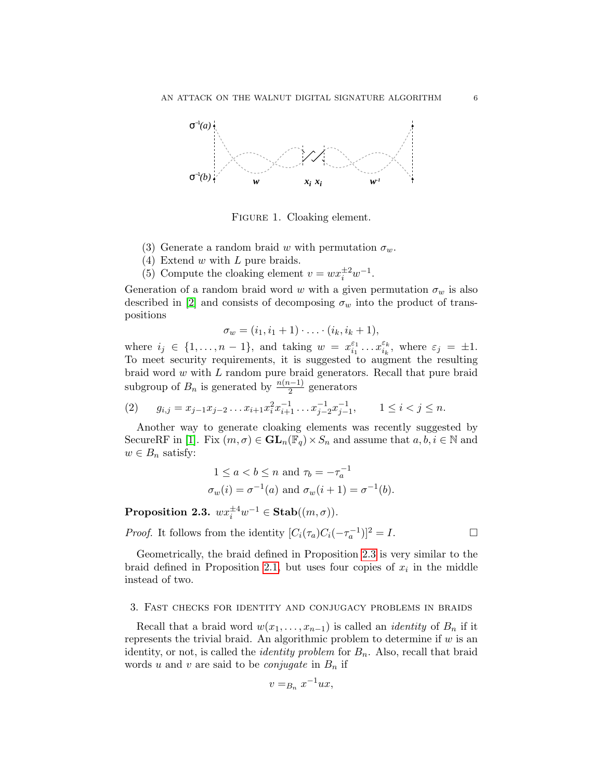

<span id="page-5-2"></span>FIGURE 1. Cloaking element.

- (3) Generate a random braid w with permutation  $\sigma_w$ .
- (4) Extend w with L pure braids.
- (5) Compute the cloaking element  $v = wx_i^{\pm 2}w^{-1}$ .

Generation of a random braid word w with a given permutation  $\sigma_w$  is also described in [\[2\]](#page-18-10) and consists of decomposing  $\sigma_w$  into the product of transpositions

$$
\sigma_w = (i_1, i_1+1) \cdot \ldots \cdot (i_k, i_k+1),
$$

where  $i_j \in \{1, \ldots, n-1\}$ , and taking  $w = x_{i_1}^{\varepsilon_1}$  $\frac{\varepsilon_1}{i_1} \dots x_{i_k}^{\varepsilon_k}$  $\epsilon_k^{\varepsilon_k}$ , where  $\varepsilon_j = \pm 1$ . To meet security requirements, it is suggested to augment the resulting braid word w with L random pure braid generators. Recall that pure braid subgroup of  $B_n$  is generated by  $\frac{n(n-1)}{2}$  generators

$$
(2) \t g_{i,j} = x_{j-1}x_{j-2}\ldots x_{i+1}x_i^2x_{i+1}^{-1}\ldots x_{j-2}^{-1}x_{j-1}^{-1}, \t 1 \le i < j \le n.
$$

Another way to generate cloaking elements was recently suggested by SecureRF in [\[1\]](#page-17-0). Fix  $(m, \sigma) \in GL_n(\mathbb{F}_q) \times S_n$  and assume that  $a, b, i \in \mathbb{N}$  and  $w \in B_n$  satisfy:

$$
1 \le a < b \le n \text{ and } \tau_b = -\tau_a^{-1}
$$
\n
$$
\sigma_w(i) = \sigma^{-1}(a) \text{ and } \sigma_w(i+1) = \sigma^{-1}(b).
$$

<span id="page-5-0"></span>**Proposition 2.3.**  $wx_i^{\pm 4}w^{-1} \in \text{Stab}((m, \sigma)).$ 

*Proof.* It follows from the identity  $[C_i(\tau_a)C_i(-\tau_a^{-1})]^2 = I$ .

Geometrically, the braid defined in Proposition [2.3](#page-5-0) is very similar to the braid defined in Proposition [2.1,](#page-4-0) but uses four copies of  $x_i$  in the middle instead of two.

### <span id="page-5-1"></span>3. Fast checks for identity and conjugacy problems in braids

Recall that a braid word  $w(x_1, \ldots, x_{n-1})$  is called an *identity* of  $B_n$  if it represents the trivial braid. An algorithmic problem to determine if  $w$  is an identity, or not, is called the *identity problem* for  $B_n$ . Also, recall that braid words u and v are said to be *conjugate* in  $B_n$  if

$$
v =_{B_n} x^{-1} u x,
$$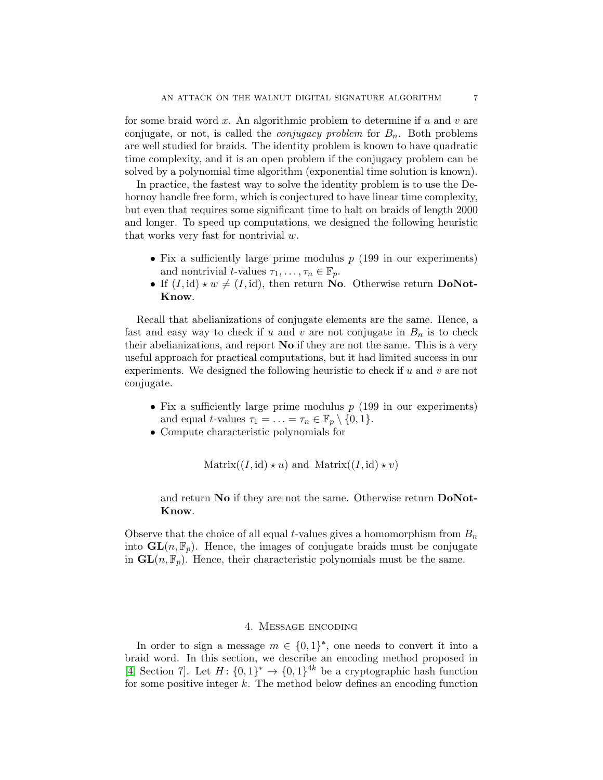for some braid word  $x$ . An algorithmic problem to determine if  $u$  and  $v$  are conjugate, or not, is called the *conjugacy problem* for  $B_n$ . Both problems are well studied for braids. The identity problem is known to have quadratic time complexity, and it is an open problem if the conjugacy problem can be solved by a polynomial time algorithm (exponential time solution is known).

In practice, the fastest way to solve the identity problem is to use the Dehornoy handle free form, which is conjectured to have linear time complexity, but even that requires some significant time to halt on braids of length 2000 and longer. To speed up computations, we designed the following heuristic that works very fast for nontrivial  $w$ .

- Fix a sufficiently large prime modulus  $p(199)$  in our experiments) and nontrivial *t*-values  $\tau_1, \ldots, \tau_n \in \mathbb{F}_p$ .
- If  $(I, id) \star w \neq (I, id)$ , then return No. Otherwise return DoNot-Know.

Recall that abelianizations of conjugate elements are the same. Hence, a fast and easy way to check if u and v are not conjugate in  $B_n$  is to check their abelianizations, and report No if they are not the same. This is a very useful approach for practical computations, but it had limited success in our experiments. We designed the following heuristic to check if u and v are not conjugate.

- Fix a sufficiently large prime modulus  $p(199)$  in our experiments) and equal t-values  $\tau_1 = \ldots = \tau_n \in \mathbb{F}_p \setminus \{0, 1\}.$
- Compute characteristic polynomials for

 $\text{Matrix}((I, id) \star u)$  and  $\text{Matrix}((I, id) \star v)$ 

and return No if they are not the same. Otherwise return DoNot-Know.

Observe that the choice of all equal t-values gives a homomorphism from  $B_n$ into  $\mathbf{GL}(n, \mathbb{F}_p)$ . Hence, the images of conjugate braids must be conjugate in  $GL(n, \mathbb{F}_p)$ . Hence, their characteristic polynomials must be the same.

### 4. Message encoding

<span id="page-6-0"></span>In order to sign a message  $m \in \{0,1\}^*$ , one needs to convert it into a braid word. In this section, we describe an encoding method proposed in [\[4,](#page-18-1) Section 7]. Let  $H: \{0,1\}^* \to \{0,1\}^{4k}$  be a cryptographic hash function for some positive integer  $k$ . The method below defines an encoding function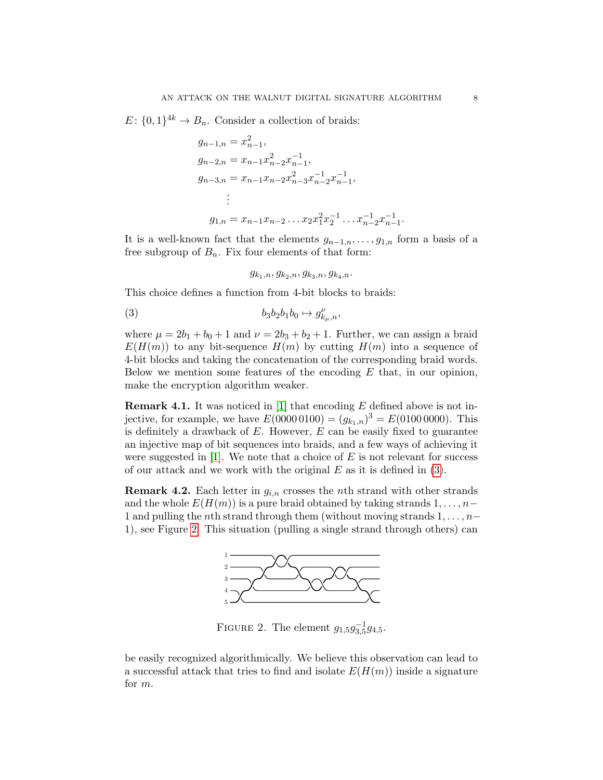$E: \{0,1\}^{4k} \to B_n$ . Consider a collection of braids:

$$
g_{n-1,n} = x_{n-1}^2,
$$
  
\n
$$
g_{n-2,n} = x_{n-1}x_{n-2}^2 x_{n-1}^{-1},
$$
  
\n
$$
g_{n-3,n} = x_{n-1}x_{n-2}x_{n-3}^2 x_{n-2}^{-1} x_{n-1}^{-1},
$$
  
\n
$$
\vdots
$$
  
\n
$$
g_{1,n} = x_{n-1}x_{n-2} \dots x_2 x_1^2 x_2^{-1} \dots x_{n-2}^{-1} x_{n-1}^{-1}
$$

It is a well-known fact that the elements  $g_{n-1,n},\ldots,g_{1,n}$  form a basis of a free subgroup of  $B_n$ . Fix four elements of that form:

<span id="page-7-0"></span> $g_{k_1,n}, g_{k_2,n}, g_{k_3,n}, g_{k_4,n}.$ 

This choice defines a function from 4-bit blocks to braids:

$$
(3) \t\t b_3b_2b_1b_0 \mapsto g_{k_\mu,n}^\nu,
$$

where  $\mu = 2b_1 + b_0 + 1$  and  $\nu = 2b_3 + b_2 + 1$ . Further, we can assign a braid  $E(H(m))$  to any bit-sequence  $H(m)$  by cutting  $H(m)$  into a sequence of 4-bit blocks and taking the concatenation of the corresponding braid words. Below we mention some features of the encoding  $E$  that, in our opinion, make the encryption algorithm weaker.

**Remark 4.1.** It was noticed in [\[1\]](#page-17-0) that encoding  $E$  defined above is not injective, for example, we have  $E(00000100) = (g_{k_1,n})^3 = E(01000000)$ . This is definitely a drawback of  $E$ . However,  $E$  can be easily fixed to guarantee an injective map of bit sequences into braids, and a few ways of achieving it were suggested in  $[1]$ . We note that a choice of E is not relevant for success of our attack and we work with the original  $E$  as it is defined in [\(3\)](#page-7-0).

**Remark 4.2.** Each letter in  $g_{i,n}$  crosses the *n*th strand with other strands and the whole  $E(H(m))$  is a pure braid obtained by taking strands  $1, \ldots, n-$ 1 and pulling the nth strand through them (without moving strands  $1, \ldots, n-$ 1), see Figure [2.](#page-7-1) This situation (pulling a single strand through others) can



<span id="page-7-1"></span>FIGURE 2. The element  $g_{1,5}g_{3,5}^{-1}g_{4,5}$ .

be easily recognized algorithmically. We believe this observation can lead to a successful attack that tries to find and isolate  $E(H(m))$  inside a signature for m.

.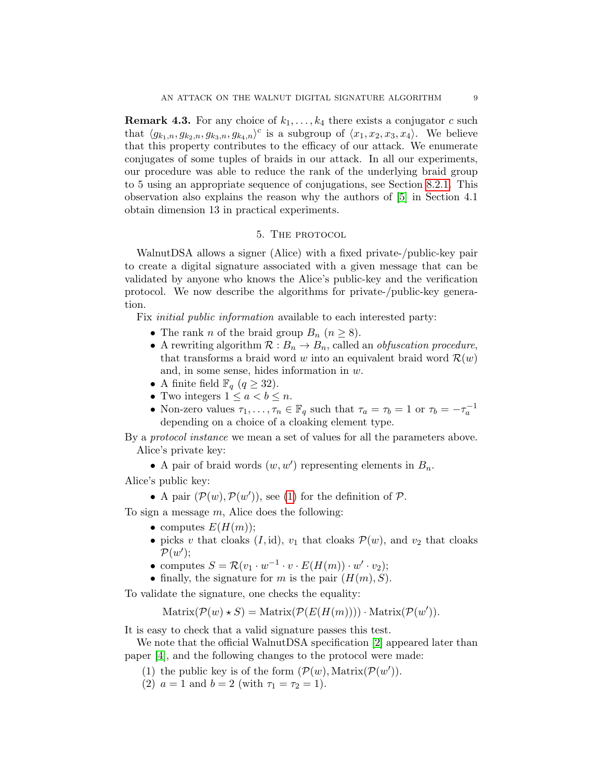<span id="page-8-1"></span>**Remark 4.3.** For any choice of  $k_1, \ldots, k_4$  there exists a conjugator c such that  $\langle g_{k_1,n}, g_{k_2,n}, g_{k_3,n}, g_{k_4,n} \rangle^c$  is a subgroup of  $\langle x_1, x_2, x_3, x_4 \rangle$ . We believe that this property contributes to the efficacy of our attack. We enumerate conjugates of some tuples of braids in our attack. In all our experiments, our procedure was able to reduce the rank of the underlying braid group to 5 using an appropriate sequence of conjugations, see Section [8.2.1.](#page-14-0) This observation also explains the reason why the authors of [\[5\]](#page-18-3) in Section 4.1 obtain dimension 13 in practical experiments.

## 5. THE PROTOCOL

<span id="page-8-0"></span>WalnutDSA allows a signer (Alice) with a fixed private-/public-key pair to create a digital signature associated with a given message that can be validated by anyone who knows the Alice's public-key and the verification protocol. We now describe the algorithms for private-/public-key generation.

Fix initial public information available to each interested party:

- The rank n of the braid group  $B_n$   $(n \geq 8)$ .
- A rewriting algorithm  $\mathcal{R}: B_n \to B_n$ , called an *obfuscation procedure*, that transforms a braid word w into an equivalent braid word  $\mathcal{R}(w)$ and, in some sense, hides information in  $w$ .
- A finite field  $\mathbb{F}_q$   $(q \geq 32)$ .
- Two integers  $1 \leq a < b \leq n$ .
- Non-zero values  $\tau_1, \ldots, \tau_n \in \mathbb{F}_q$  such that  $\tau_a = \tau_b = 1$  or  $\tau_b = -\tau_a^{-1}$ depending on a choice of a cloaking element type.

By a protocol instance we mean a set of values for all the parameters above. Alice's private key:

• A pair of braid words  $(w, w')$  representing elements in  $B_n$ .

Alice's public key:

• A pair  $(\mathcal{P}(w), \mathcal{P}(w'))$ , see [\(1\)](#page-3-0) for the definition of  $\mathcal{P}$ .

To sign a message  $m$ , Alice does the following:

- computes  $E(H(m))$ ;
- picks v that cloaks  $(I, id)$ ,  $v_1$  that cloaks  $\mathcal{P}(w)$ , and  $v_2$  that cloaks  $\mathcal{P}(w')$ ;
- computes  $S = \mathcal{R}(v_1 \cdot w^{-1} \cdot v \cdot E(H(m)) \cdot w' \cdot v_2);$
- finally, the signature for m is the pair  $(H(m), S)$ .

To validate the signature, one checks the equality:

 $\text{Matrix}(\mathcal{P}(w) * S) = \text{Matrix}(\mathcal{P}(E(H(m)))) \cdot \text{Matrix}(\mathcal{P}(w')).$ 

It is easy to check that a valid signature passes this test.

We note that the official WalnutDSA specification [\[2\]](#page-18-10) appeared later than paper [\[4\]](#page-18-1), and the following changes to the protocol were made:

- (1) the public key is of the form  $(\mathcal{P}(w), \text{Matrix}(\mathcal{P}(w'))$ .
- (2)  $a = 1$  and  $b = 2$  (with  $\tau_1 = \tau_2 = 1$ ).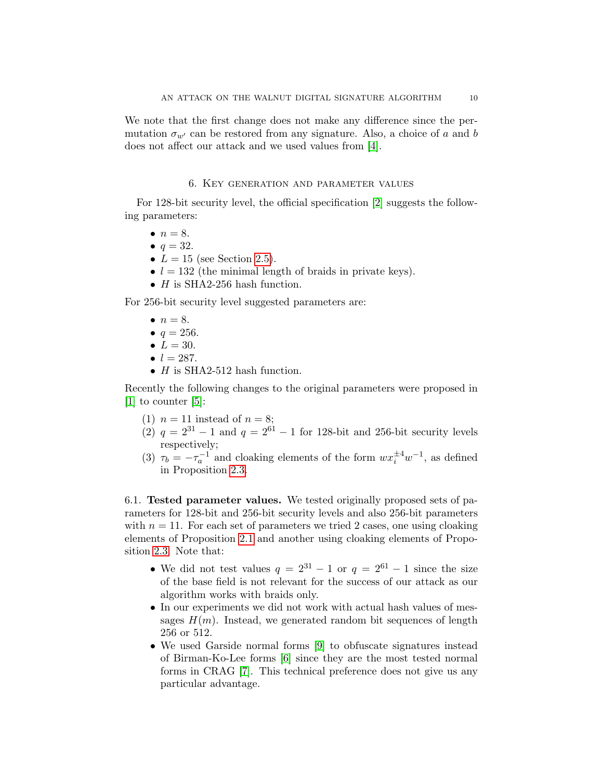### 6. Key generation and parameter values

<span id="page-9-0"></span>For 128-bit security level, the official specification [\[2\]](#page-18-10) suggests the following parameters:

- $\bullet$   $n = 8$ .
- $q = 32$ .
- $L = 15$  (see Section [2.5\)](#page-4-1).
- $l = 132$  (the minimal length of braids in private keys).
- $H$  is SHA2-256 hash function.

For 256-bit security level suggested parameters are:

- $\bullet$   $n = 8$ .
- $q = 256$ .
- $L = 30$ .
- $l = 287$ .
- $H$  is SHA2-512 hash function.

Recently the following changes to the original parameters were proposed in [\[1\]](#page-17-0) to counter [\[5\]](#page-18-3):

- (1)  $n = 11$  instead of  $n = 8$ ;
- (2)  $q = 2^{31} 1$  and  $q = 2^{61} 1$  for 128-bit and 256-bit security levels respectively;
- (3)  $\tau_b = -\tau_a^{-1}$  and cloaking elements of the form  $wx_i^{\pm 4}w^{-1}$ , as defined in Proposition [2.3.](#page-5-0)

6.1. Tested parameter values. We tested originally proposed sets of parameters for 128-bit and 256-bit security levels and also 256-bit parameters with  $n = 11$ . For each set of parameters we tried 2 cases, one using cloaking elements of Proposition [2.1](#page-4-0) and another using cloaking elements of Proposition [2.3.](#page-5-0) Note that:

- We did not test values  $q = 2^{31} 1$  or  $q = 2^{61} 1$  since the size of the base field is not relevant for the success of our attack as our algorithm works with braids only.
- In our experiments we did not work with actual hash values of messages  $H(m)$ . Instead, we generated random bit sequences of length 256 or 512.
- We used Garside normal forms [\[9\]](#page-18-11) to obfuscate signatures instead of Birman-Ko-Lee forms [\[6\]](#page-18-12) since they are the most tested normal forms in CRAG [\[7\]](#page-18-0). This technical preference does not give us any particular advantage.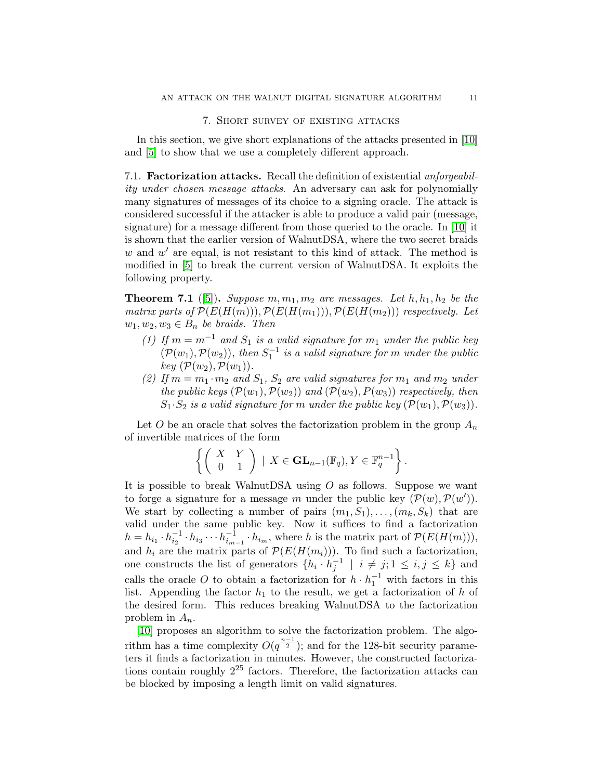### 7. Short survey of existing attacks

<span id="page-10-0"></span>In this section, we give short explanations of the attacks presented in [\[10\]](#page-18-2) and [\[5\]](#page-18-3) to show that we use a completely different approach.

7.1. Factorization attacks. Recall the definition of existential unforgeability under chosen message attacks. An adversary can ask for polynomially many signatures of messages of its choice to a signing oracle. The attack is considered successful if the attacker is able to produce a valid pair (message, signature) for a message different from those queried to the oracle. In [\[10\]](#page-18-2) it is shown that the earlier version of WalnutDSA, where the two secret braids  $w$  and  $w'$  are equal, is not resistant to this kind of attack. The method is modified in [\[5\]](#page-18-3) to break the current version of WalnutDSA. It exploits the following property.

**Theorem 7.1** ([\[5\]](#page-18-3)). Suppose  $m, m_1, m_2$  are messages. Let  $h, h_1, h_2$  be the matrix parts of  $\mathcal{P}(E(H(m)))$ ,  $\mathcal{P}(E(H(m_1))), \mathcal{P}(E(H(m_2)))$  respectively. Let  $w_1, w_2, w_3 \in B_n$  be braids. Then

- (1) If  $m = m^{-1}$  and  $S_1$  is a valid signature for  $m_1$  under the public key  $(\mathcal{P}(w_1), \mathcal{P}(w_2))$ , then  $S_1^{-1}$  is a valid signature for m under the public key  $(\mathcal{P}(w_2), \mathcal{P}(w_1))$ .
- (2) If  $m = m_1 \cdot m_2$  and  $S_1$ ,  $S_2$  are valid signatures for  $m_1$  and  $m_2$  under the public keys  $(\mathcal{P}(w_1), \mathcal{P}(w_2))$  and  $(\mathcal{P}(w_2), P(w_3))$  respectively, then  $S_1 \cdot S_2$  is a valid signature for m under the public key  $(\mathcal{P}(w_1), \mathcal{P}(w_3))$ .

Let O be an oracle that solves the factorization problem in the group  $A_n$ of invertible matrices of the form

$$
\left\{ \left( \begin{array}{cc} X & Y \\ 0 & 1 \end{array} \right) \mid X \in \mathbf{GL}_{n-1}(\mathbb{F}_q), Y \in \mathbb{F}_q^{n-1} \right\}.
$$

It is possible to break WalnutDSA using  $O$  as follows. Suppose we want to forge a signature for a message m under the public key  $(\mathcal{P}(w), \mathcal{P}(w'))$ . We start by collecting a number of pairs  $(m_1, S_1), \ldots, (m_k, S_k)$  that are valid under the same public key. Now it suffices to find a factorization  $h = h_{i_1} \cdot h_{i_2}^{-1} \cdot h_{i_3} \cdots h_{i_{m-1}}^{-1} \cdot h_{i_m}$ , where h is the matrix part of  $\mathcal{P}(E(H(m))),$ and  $h_i$  are the matrix parts of  $\mathcal{P}(E(H(m_i)))$ . To find such a factorization, one constructs the list of generators  $\{h_i \cdot h_j^{-1} \mid i \neq j; 1 \leq i, j \leq k\}$  and calls the oracle O to obtain a factorization for  $h \cdot h_1^{-1}$  with factors in this list. Appending the factor  $h_1$  to the result, we get a factorization of h of the desired form. This reduces breaking WalnutDSA to the factorization problem in  $A_n$ .

[\[10\]](#page-18-2) proposes an algorithm to solve the factorization problem. The algorithm has a time complexity  $O(q^{\frac{n-1}{2}})$ ; and for the 128-bit security parameters it finds a factorization in minutes. However, the constructed factorizations contain roughly  $2^{25}$  factors. Therefore, the factorization attacks can be blocked by imposing a length limit on valid signatures.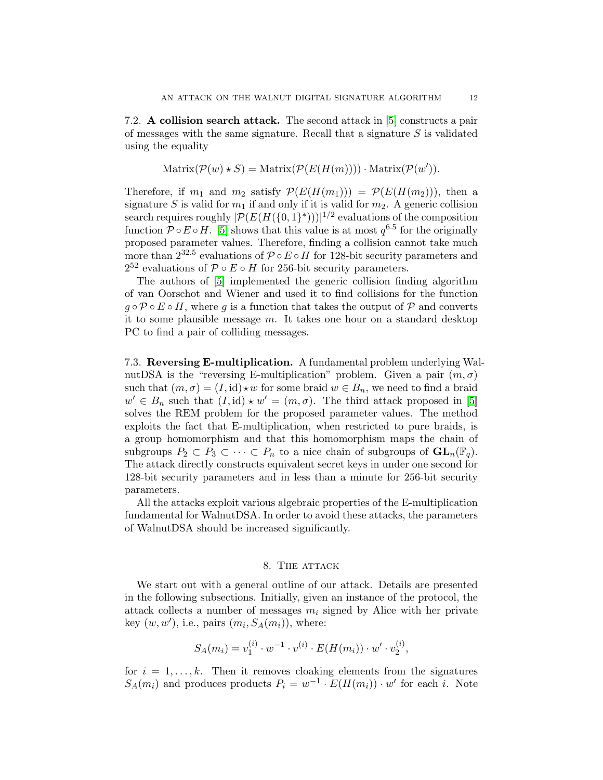7.2. A collision search attack. The second attack in [\[5\]](#page-18-3) constructs a pair of messages with the same signature. Recall that a signature  $S$  is validated using the equality

Matrix
$$
(\mathcal{P}(w) * S)
$$
 = Matrix $(\mathcal{P}(E(H(m)))) \cdot Matrix(\mathcal{P}(w'))$ .

Therefore, if  $m_1$  and  $m_2$  satisfy  $\mathcal{P}(E(H(m_1))) = \mathcal{P}(E(H(m_2)))$ , then a signature S is valid for  $m_1$  if and only if it is valid for  $m_2$ . A generic collision search requires roughly  $\lvert \mathcal{P}(E(H(\{0,1\}^*))) \rvert^{1/2}$  evaluations of the composition function  $\mathcal{P} \circ E \circ H$ . [\[5\]](#page-18-3) shows that this value is at most  $q^{6.5}$  for the originally proposed parameter values. Therefore, finding a collision cannot take much more than  $2^{32.5}$  evaluations of  $\mathcal{P} \circ E \circ H$  for 128-bit security parameters and  $2^{52}$  evaluations of  $\mathcal{P} \circ E \circ H$  for 256-bit security parameters.

The authors of [\[5\]](#page-18-3) implemented the generic collision finding algorithm of van Oorschot and Wiener and used it to find collisions for the function  $g \circ \mathcal{P} \circ E \circ H$ , where g is a function that takes the output of  $\mathcal{P}$  and converts it to some plausible message  $m$ . It takes one hour on a standard desktop PC to find a pair of colliding messages.

7.3. Reversing E-multiplication. A fundamental problem underlying WalnutDSA is the "reversing E-multiplication" problem. Given a pair  $(m, \sigma)$ such that  $(m, \sigma) = (I, id) \star w$  for some braid  $w \in B_n$ , we need to find a braid  $w' \in B_n$  such that  $(I, id) \star w' = (m, \sigma)$ . The third attack proposed in [\[5\]](#page-18-3) solves the REM problem for the proposed parameter values. The method exploits the fact that E-multiplication, when restricted to pure braids, is a group homomorphism and that this homomorphism maps the chain of subgroups  $P_2 \subset P_3 \subset \cdots \subset P_n$  to a nice chain of subgroups of  $\mathbf{GL}_n(\mathbb{F}_q)$ . The attack directly constructs equivalent secret keys in under one second for 128-bit security parameters and in less than a minute for 256-bit security parameters.

All the attacks exploit various algebraic properties of the E-multiplication fundamental for WalnutDSA. In order to avoid these attacks, the parameters of WalnutDSA should be increased significantly.

#### 8. The attack

<span id="page-11-0"></span>We start out with a general outline of our attack. Details are presented in the following subsections. Initially, given an instance of the protocol, the attack collects a number of messages  $m_i$  signed by Alice with her private key  $(w, w')$ , i.e., pairs  $(m_i, S_A(m_i))$ , where:

$$
S_A(m_i) = v_1^{(i)} \cdot w^{-1} \cdot v^{(i)} \cdot E(H(m_i)) \cdot w' \cdot v_2^{(i)},
$$

for  $i = 1, \ldots, k$ . Then it removes cloaking elements from the signatures  $S_A(m_i)$  and produces products  $P_i = w^{-1} \cdot E(H(m_i)) \cdot w'$  for each i. Note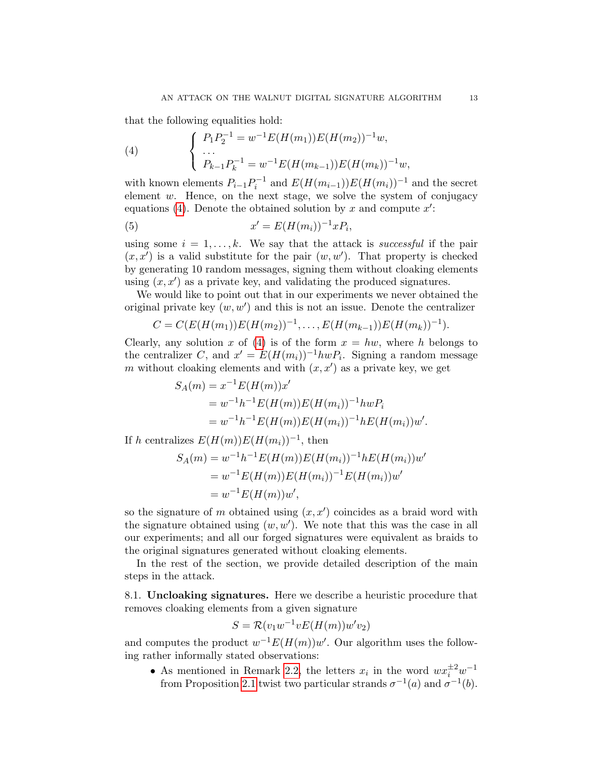that the following equalities hold:

<span id="page-12-0"></span>(4) 
$$
\begin{cases} P_1 P_2^{-1} = w^{-1} E(H(m_1)) E(H(m_2))^{-1} w, \\ \dots \\ P_{k-1} P_k^{-1} = w^{-1} E(H(m_{k-1})) E(H(m_k))^{-1} w, \end{cases}
$$

with known elements  $P_{i-1}P_i^{-1}$  and  $E(H(m_{i-1}))E(H(m_i))^{-1}$  and the secret element  $w$ . Hence, on the next stage, we solve the system of conjugacy equations [\(4\)](#page-12-0). Denote the obtained solution by x and compute  $x'$ :

,

$$
(5) \t x' = E(H(m_i))^{-1}xP_i
$$

using some  $i = 1, \ldots, k$ . We say that the attack is *successful* if the pair  $(x, x')$  is a valid substitute for the pair  $(w, w')$ . That property is checked by generating 10 random messages, signing them without cloaking elements using  $(x, x')$  as a private key, and validating the produced signatures.

We would like to point out that in our experiments we never obtained the original private key  $(w, w')$  and this is not an issue. Denote the centralizer

$$
C = C(E(H(m_1))E(H(m_2))^{-1}, \ldots, E(H(m_{k-1}))E(H(m_k))^{-1}).
$$

Clearly, any solution x of [\(4\)](#page-12-0) is of the form  $x = hw$ , where h belongs to the centralizer C, and  $x' = E(H(m_i))^{-1} h w P_i$ . Signing a random message m without cloaking elements and with  $(x, x')$  as a private key, we get

$$
S_A(m) = x^{-1} E(H(m))x'
$$
  
=  $w^{-1}h^{-1} E(H(m)) E(H(m_i))^{-1} h w P_i$   
=  $w^{-1}h^{-1} E(H(m)) E(H(m_i))^{-1} h E(H(m_i))w'.$ 

If h centralizes  $E(H(m))E(H(m_i))^{-1}$ , then

$$
S_A(m) = w^{-1}h^{-1}E(H(m))E(H(m_i))^{-1}hE(H(m_i))w'
$$
  
=  $w^{-1}E(H(m))E(H(m_i))^{-1}E(H(m_i))w'$   
=  $w^{-1}E(H(m))w'$ ,

so the signature of m obtained using  $(x, x')$  coincides as a braid word with the signature obtained using  $(w, w')$ . We note that this was the case in all our experiments; and all our forged signatures were equivalent as braids to the original signatures generated without cloaking elements.

In the rest of the section, we provide detailed description of the main steps in the attack.

<span id="page-12-1"></span>8.1. Uncloaking signatures. Here we describe a heuristic procedure that removes cloaking elements from a given signature

$$
S = \mathcal{R}(v_1 w^{-1} v E(H(m)) w' v_2)
$$

and computes the product  $w^{-1}E(H(m))w'$ . Our algorithm uses the following rather informally stated observations:

• As mentioned in Remark [2.2,](#page-4-2) the letters  $x_i$  in the word  $wx_i^{\pm 2}w^{-1}$ from Proposition [2.1](#page-4-0) twist two particular strands  $\sigma^{-1}(a)$  and  $\sigma^{-1}(b)$ .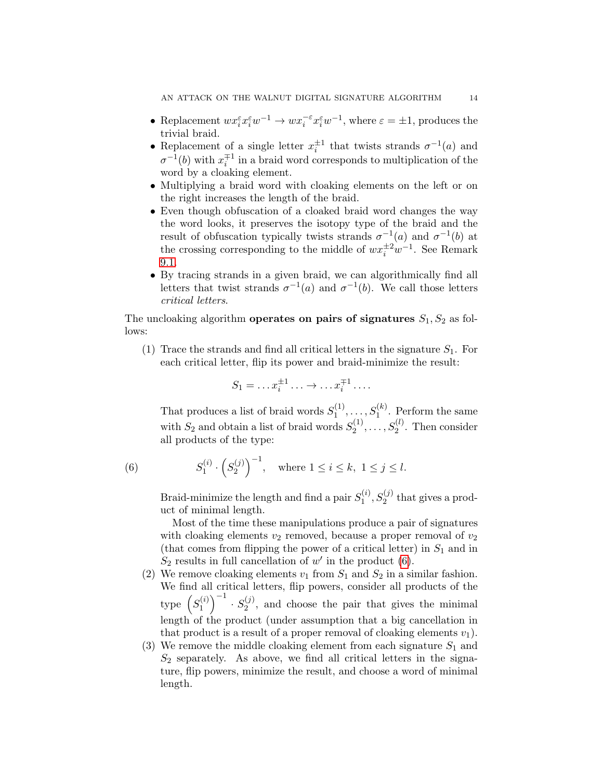- Replacement  $wx_i^{\varepsilon} x_i^{\varepsilon} w^{-1} \to wx_i^{-\varepsilon} x_i^{\varepsilon} w^{-1}$ , where  $\varepsilon = \pm 1$ , produces the trivial braid.
- Replacement of a single letter  $x_i^{\pm 1}$  that twists strands  $\sigma^{-1}(a)$  and  $\sigma^{-1}(b)$  with  $x_i^{\mp 1}$  in a braid word corresponds to multiplication of the word by a cloaking element.
- Multiplying a braid word with cloaking elements on the left or on the right increases the length of the braid.
- Even though obfuscation of a cloaked braid word changes the way the word looks, it preserves the isotopy type of the braid and the result of obfuscation typically twists strands  $\sigma^{-1}(a)$  and  $\sigma^{-1}(b)$  at the crossing corresponding to the middle of  $wx_i^{\pm 2}w^{-1}$ . See Remark [9.1.](#page-16-0)
- By tracing strands in a given braid, we can algorithmically find all letters that twist strands  $\sigma^{-1}(a)$  and  $\sigma^{-1}(b)$ . We call those letters critical letters.

The uncloaking algorithm **operates on pairs of signatures**  $S_1, S_2$  as follows:

(1) Trace the strands and find all critical letters in the signature  $S_1$ . For each critical letter, flip its power and braid-minimize the result:

$$
S_1 = \dots x_i^{\pm 1} \dots \to \dots x_i^{\mp 1} \dots
$$

That produces a list of braid words  $S_1^{(1)}$  $S_1^{(1)}, \ldots, S_1^{(k)}$ . Perform the same with  $S_2$  and obtain a list of braid words  $S_2^{(1)}$  $S_2^{(1)}, \ldots, S_2^{(l)}$ . Then consider all products of the type:

(6) 
$$
S_1^{(i)} \cdot (S_2^{(j)})^{-1}
$$
, where  $1 \le i \le k, 1 \le j \le l$ .

<span id="page-13-0"></span>Braid-minimize the length and find a pair  $S_1^{(i)}$  $S_1^{(i)}, S_2^{(j)}$  that gives a product of minimal length.

Most of the time these manipulations produce a pair of signatures with cloaking elements  $v_2$  removed, because a proper removal of  $v_2$ (that comes from flipping the power of a critical letter) in  $S_1$  and in  $S_2$  results in full cancellation of w' in the product [\(6\)](#page-13-0).

- (2) We remove cloaking elements  $v_1$  from  $S_1$  and  $S_2$  in a similar fashion. We find all critical letters, flip powers, consider all products of the type  $\left(S_1^{(i)}\right)$  $\binom{(i)}{1}^{-1} \cdot S_2^{(j)}$  $2^{(1)}$ , and choose the pair that gives the minimal length of the product (under assumption that a big cancellation in that product is a result of a proper removal of cloaking elements  $v_1$ ).
- (3) We remove the middle cloaking element from each signature  $S_1$  and  $S_2$  separately. As above, we find all critical letters in the signature, flip powers, minimize the result, and choose a word of minimal length.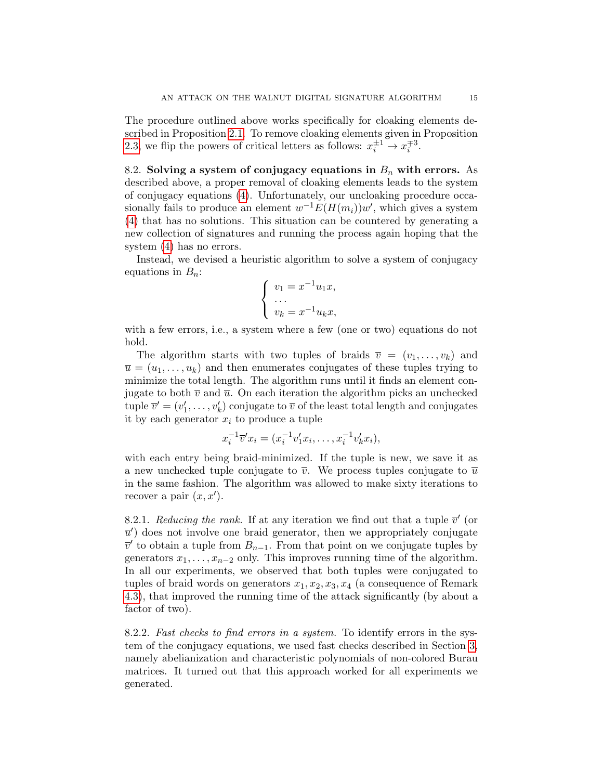The procedure outlined above works specifically for cloaking elements described in Proposition [2.1.](#page-4-0) To remove cloaking elements given in Proposition [2.3,](#page-5-0) we flip the powers of critical letters as follows:  $x_i^{\pm 1} \rightarrow x_i^{\mp 3}$ .

8.2. Solving a system of conjugacy equations in  $B_n$  with errors. As described above, a proper removal of cloaking elements leads to the system of conjugacy equations [\(4\)](#page-12-0). Unfortunately, our uncloaking procedure occasionally fails to produce an element  $w^{-1}E(H(m_i))w'$ , which gives a system [\(4\)](#page-12-0) that has no solutions. This situation can be countered by generating a new collection of signatures and running the process again hoping that the system [\(4\)](#page-12-0) has no errors.

Instead, we devised a heuristic algorithm to solve a system of conjugacy equations in  $B_n$ :

$$
\begin{cases}\nv_1 = x^{-1}u_1x, \\
\cdots \\
v_k = x^{-1}u_kx,\n\end{cases}
$$

with a few errors, i.e., a system where a few (one or two) equations do not hold.

The algorithm starts with two tuples of braids  $\overline{v} = (v_1, \ldots, v_k)$  and  $\overline{u} = (u_1, \ldots, u_k)$  and then enumerates conjugates of these tuples trying to minimize the total length. The algorithm runs until it finds an element conjugate to both  $\overline{v}$  and  $\overline{u}$ . On each iteration the algorithm picks an unchecked tuple  $\overline{v}' = (v'_1, \ldots, v'_k)$  conjugate to  $\overline{v}$  of the least total length and conjugates it by each generator  $x_i$  to produce a tuple

$$
x_i^{-1} \overline{v}' x_i = (x_i^{-1} v'_1 x_i, \dots, x_i^{-1} v'_k x_i),
$$

with each entry being braid-minimized. If the tuple is new, we save it as a new unchecked tuple conjugate to  $\overline{v}$ . We process tuples conjugate to  $\overline{u}$ in the same fashion. The algorithm was allowed to make sixty iterations to recover a pair  $(x, x')$ .

<span id="page-14-0"></span>8.2.1. Reducing the rank. If at any iteration we find out that a tuple  $\overline{v}'$  (or  $\overline{u}'$  does not involve one braid generator, then we appropriately conjugate  $\overline{v}'$  to obtain a tuple from  $B_{n-1}$ . From that point on we conjugate tuples by generators  $x_1, \ldots, x_{n-2}$  only. This improves running time of the algorithm. In all our experiments, we observed that both tuples were conjugated to tuples of braid words on generators  $x_1, x_2, x_3, x_4$  (a consequence of Remark [4.3\)](#page-8-1), that improved the running time of the attack significantly (by about a factor of two).

8.2.2. Fast checks to find errors in a system. To identify errors in the system of the conjugacy equations, we used fast checks described in Section [3,](#page-5-1) namely abelianization and characteristic polynomials of non-colored Burau matrices. It turned out that this approach worked for all experiments we generated.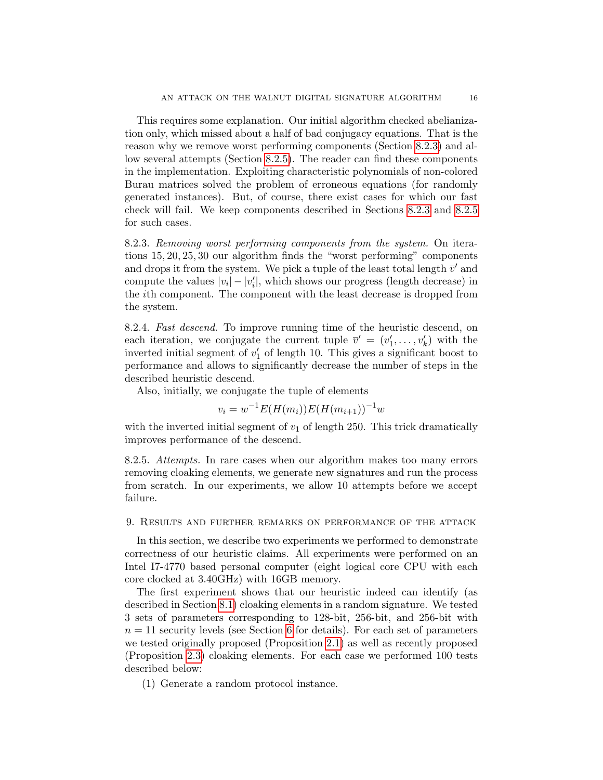This requires some explanation. Our initial algorithm checked abelianization only, which missed about a half of bad conjugacy equations. That is the reason why we remove worst performing components (Section [8.2.3\)](#page-15-1) and allow several attempts (Section [8.2.5\)](#page-15-2). The reader can find these components in the implementation. Exploiting characteristic polynomials of non-colored Burau matrices solved the problem of erroneous equations (for randomly generated instances). But, of course, there exist cases for which our fast check will fail. We keep components described in Sections [8.2.3](#page-15-1) and [8.2.5](#page-15-2) for such cases.

<span id="page-15-1"></span>8.2.3. Removing worst performing components from the system. On iterations 15, 20, 25, 30 our algorithm finds the "worst performing" components and drops it from the system. We pick a tuple of the least total length  $\bar{v}'$  and compute the values  $|v_i| - |v'_i|$ , which shows our progress (length decrease) in the ith component. The component with the least decrease is dropped from the system.

8.2.4. Fast descend. To improve running time of the heuristic descend, on each iteration, we conjugate the current tuple  $\bar{v}' = (v'_1, \ldots, v'_k)$  with the inverted initial segment of  $v_1'$  of length 10. This gives a significant boost to performance and allows to significantly decrease the number of steps in the described heuristic descend.

Also, initially, we conjugate the tuple of elements

$$
v_i = w^{-1} E(H(m_i)) E(H(m_{i+1}))^{-1} w
$$

with the inverted initial segment of  $v_1$  of length 250. This trick dramatically improves performance of the descend.

<span id="page-15-2"></span>8.2.5. Attempts. In rare cases when our algorithm makes too many errors removing cloaking elements, we generate new signatures and run the process from scratch. In our experiments, we allow 10 attempts before we accept failure.

<span id="page-15-0"></span>9. Results and further remarks on performance of the attack

In this section, we describe two experiments we performed to demonstrate correctness of our heuristic claims. All experiments were performed on an Intel I7-4770 based personal computer (eight logical core CPU with each core clocked at 3.40GHz) with 16GB memory.

The first experiment shows that our heuristic indeed can identify (as described in Section [8.1\)](#page-12-1) cloaking elements in a random signature. We tested 3 sets of parameters corresponding to 128-bit, 256-bit, and 256-bit with  $n = 11$  security levels (see Section [6](#page-9-0) for details). For each set of parameters we tested originally proposed (Proposition [2.1\)](#page-4-0) as well as recently proposed (Proposition [2.3\)](#page-5-0) cloaking elements. For each case we performed 100 tests described below:

(1) Generate a random protocol instance.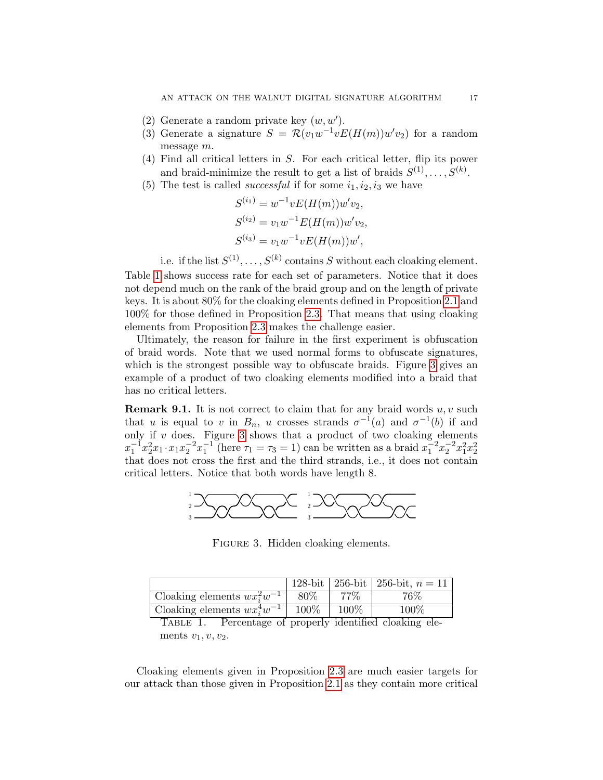- (2) Generate a random private key  $(w, w')$ .
- (3) Generate a signature  $S = \mathcal{R}(v_1w^{-1}vE(H(m))w'v_2)$  for a random message m.
- (4) Find all critical letters in S. For each critical letter, flip its power and braid-minimize the result to get a list of braids  $S^{(1)}, \ldots, S^{(k)}$ .
- (5) The test is called *successful* if for some  $i_1, i_2, i_3$  we have

$$
S^{(i_1)} = w^{-1}vE(H(m))w'v_2,
$$
  
\n
$$
S^{(i_2)} = v_1w^{-1}E(H(m))w'v_2,
$$
  
\n
$$
S^{(i_3)} = v_1w^{-1}vE(H(m))w',
$$

i.e. if the list  $S^{(1)}, \ldots, S^{(k)}$  contains S without each cloaking element. Table [1](#page-16-1) shows success rate for each set of parameters. Notice that it does not depend much on the rank of the braid group and on the length of private keys. It is about 80% for the cloaking elements defined in Proposition [2.1](#page-4-0) and 100% for those defined in Proposition [2.3.](#page-5-0) That means that using cloaking elements from Proposition [2.3](#page-5-0) makes the challenge easier.

Ultimately, the reason for failure in the first experiment is obfuscation of braid words. Note that we used normal forms to obfuscate signatures, which is the strongest possible way to obfuscate braids. Figure [3](#page-16-2) gives an example of a product of two cloaking elements modified into a braid that has no critical letters.

<span id="page-16-0"></span>**Remark 9.1.** It is not correct to claim that for any braid words  $u, v$  such that u is equal to v in  $B_n$ , u crosses strands  $\sigma^{-1}(a)$  and  $\sigma^{-1}(b)$  if and only if  $v$  does. Figure [3](#page-16-2) shows that a product of two cloaking elements  $x_1^{-1}x_2^2x_1 \cdot x_1x_2^{-2}x_1^{-1}$  (here  $\tau_1 = \tau_3 = 1$ ) can be written as a braid  $x_1^{-2}x_2^{-2}x_1^2x_2^2$ that does not cross the first and the third strands, i.e., it does not contain critical letters. Notice that both words have length 8.



<span id="page-16-2"></span>FIGURE 3. Hidden cloaking elements.

|                                  |       |         | 128-bit   256-bit   256-bit, $n = 11$ |
|----------------------------------|-------|---------|---------------------------------------|
| Cloaking elements $wx_i^2w^{-1}$ | 80\%  | $77\%$  | $76\%$                                |
| Cloaking elements $wx_i^4w^{-1}$ | 100\% | $100\%$ | $100\%$                               |

<span id="page-16-1"></span>TABLE 1. Percentage of properly identified cloaking elements  $v_1, v, v_2$ .

Cloaking elements given in Proposition [2.3](#page-5-0) are much easier targets for our attack than those given in Proposition [2.1](#page-4-0) as they contain more critical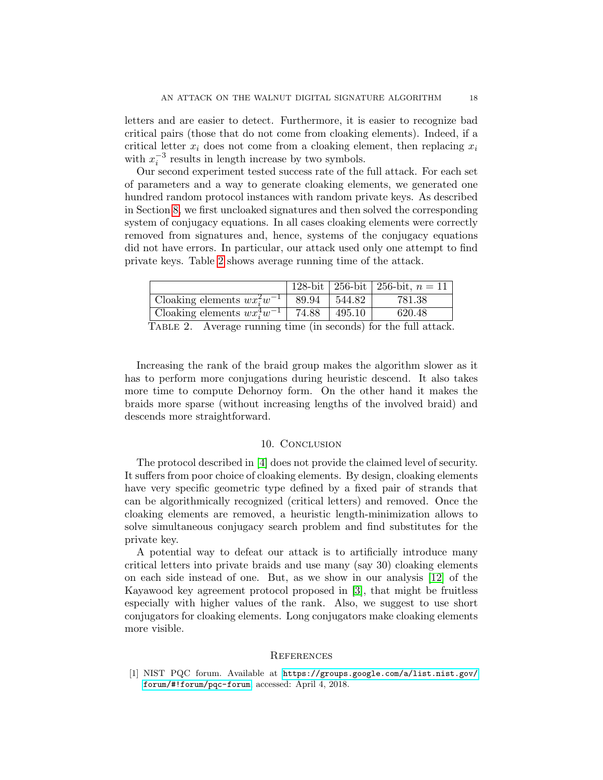letters and are easier to detect. Furthermore, it is easier to recognize bad critical pairs (those that do not come from cloaking elements). Indeed, if a critical letter  $x_i$  does not come from a cloaking element, then replacing  $x_i$ with  $x_i^{-3}$  results in length increase by two symbols.

Our second experiment tested success rate of the full attack. For each set of parameters and a way to generate cloaking elements, we generated one hundred random protocol instances with random private keys. As described in Section [8,](#page-11-0) we first uncloaked signatures and then solved the corresponding system of conjugacy equations. In all cases cloaking elements were correctly removed from signatures and, hence, systems of the conjugacy equations did not have errors. In particular, our attack used only one attempt to find private keys. Table [2](#page-17-2) shows average running time of the attack.

|                                          |       |               | 128-bit   256-bit   256-bit, $n = 11$ |  |
|------------------------------------------|-------|---------------|---------------------------------------|--|
| Cloaking elements $wx_i^2w^{-1}$   89.94 |       | 544.82        | 781.38                                |  |
| Cloaking elements $wx_i^4w^{-1}$         | 74.88 | $\mid$ 495.10 | 620.48                                |  |
| $T_{i}$ $\sim$ $T_{i}$ $\sim$ $\Omega$   |       |               |                                       |  |

<span id="page-17-2"></span>TABLE 2. Average running time (in seconds) for the full attack.

Increasing the rank of the braid group makes the algorithm slower as it has to perform more conjugations during heuristic descend. It also takes more time to compute Dehornoy form. On the other hand it makes the braids more sparse (without increasing lengths of the involved braid) and descends more straightforward.

### 10. Conclusion

<span id="page-17-1"></span>The protocol described in [\[4\]](#page-18-1) does not provide the claimed level of security. It suffers from poor choice of cloaking elements. By design, cloaking elements have very specific geometric type defined by a fixed pair of strands that can be algorithmically recognized (critical letters) and removed. Once the cloaking elements are removed, a heuristic length-minimization allows to solve simultaneous conjugacy search problem and find substitutes for the private key.

A potential way to defeat our attack is to artificially introduce many critical letters into private braids and use many (say 30) cloaking elements on each side instead of one. But, as we show in our analysis [\[12\]](#page-18-13) of the Kayawood key agreement protocol proposed in [\[3\]](#page-18-14), that might be fruitless especially with higher values of the rank. Also, we suggest to use short conjugators for cloaking elements. Long conjugators make cloaking elements more visible.

### **REFERENCES**

<span id="page-17-0"></span>[1] NIST PQC forum. Available at [https://groups.google.com/a/list.nist.gov/](https://groups.google.com/a/list.nist.gov/forum/#!forum/pqc-forum) [forum/#!forum/pqc-forum](https://groups.google.com/a/list.nist.gov/forum/#!forum/pqc-forum), accessed: April 4, 2018.